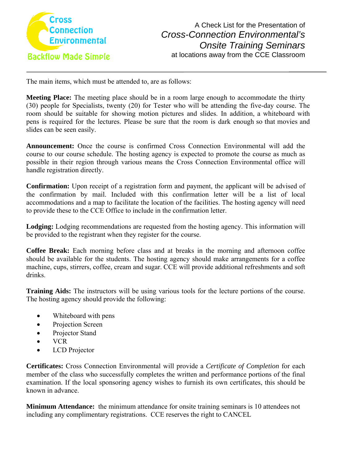

The main items, which must be attended to, are as follows:

**Meeting Place:** The meeting place should be in a room large enough to accommodate the thirty (30) people for Specialists, twenty (20) for Tester who will be attending the five-day course. The room should be suitable for showing motion pictures and slides. In addition, a whiteboard with pens is required for the lectures. Please be sure that the room is dark enough so that movies and slides can be seen easily.

**Announcement:** Once the course is confirmed Cross Connection Environmental will add the course to our course schedule. The hosting agency is expected to promote the course as much as possible in their region through various means the Cross Connection Environmental office will handle registration directly.

**Confirmation:** Upon receipt of a registration form and payment, the applicant will be advised of the confirmation by mail. Included with this confirmation letter will be a list of local accommodations and a map to facilitate the location of the facilities. The hosting agency will need to provide these to the CCE Office to include in the confirmation letter.

**Lodging:** Lodging recommendations are requested from the hosting agency. This information will be provided to the registrant when they register for the course.

**Coffee Break:** Each morning before class and at breaks in the morning and afternoon coffee should be available for the students. The hosting agency should make arrangements for a coffee machine, cups, stirrers, coffee, cream and sugar. CCE will provide additional refreshments and soft drinks.

**Training Aids:** The instructors will be using various tools for the lecture portions of the course. The hosting agency should provide the following:

- Whiteboard with pens
- Projection Screen
- Projector Stand
- VCR
- LCD Projector

**Certificates:** Cross Connection Environmental will provide a *Certificate of Completion* for each member of the class who successfully completes the written and performance portions of the final examination. If the local sponsoring agency wishes to furnish its own certificates, this should be known in advance.

**Minimum Attendance:** the minimum attendance for onsite training seminars is 10 attendees not including any complimentary registrations. CCE reserves the right to CANCEL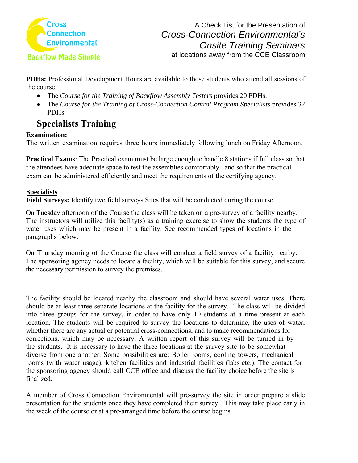

**PDHs:** Professional Development Hours are available to those students who attend all sessions of the course.

- The *Course for the Training of Backflow Assembly Testers provides 20 PDHs.*
- The *Course for the Training of Cross-Connection Control Program Specialists* provides 32 PDHs.

## **Specialists Training**

## **Examination:**

The written examination requires three hours immediately following lunch on Friday Afternoon.

**Practical Exams:** The Practical exam must be large enough to handle 8 stations if full class so that the attendees have adequate space to test the assemblies comfortably. and so that the practical exam can be administered efficiently and meet the requirements of the certifying agency.

## **Specialists**

**Field Surveys:** Identify two field surveys Sites that will be conducted during the course.

On Tuesday afternoon of the Course the class will be taken on a pre-survey of a facility nearby. The instructors will utilize this facility(s) as a training exercise to show the students the type of water uses which may be present in a facility. See recommended types of locations in the paragraphs below.

On Thursday morning of the Course the class will conduct a field survey of a facility nearby. The sponsoring agency needs to locate a facility, which will be suitable for this survey, and secure the necessary permission to survey the premises.

The facility should be located nearby the classroom and should have several water uses. There should be at least three separate locations at the facility for the survey. The class will be divided into three groups for the survey, in order to have only 10 students at a time present at each location. The students will be required to survey the locations to determine, the uses of water, whether there are any actual or potential cross-connections, and to make recommendations for corrections, which may be necessary. A written report of this survey will be turned in by the students. It is necessary to have the three locations at the survey site to be somewhat diverse from one another. Some possibilities are: Boiler rooms, cooling towers, mechanical rooms (with water usage), kitchen facilities and industrial facilities (labs etc.). The contact for the sponsoring agency should call CCE office and discuss the facility choice before the site is finalized.

A member of Cross Connection Environmental will pre-survey the site in order prepare a slide presentation for the students once they have completed their survey. This may take place early in the week of the course or at a pre-arranged time before the course begins.